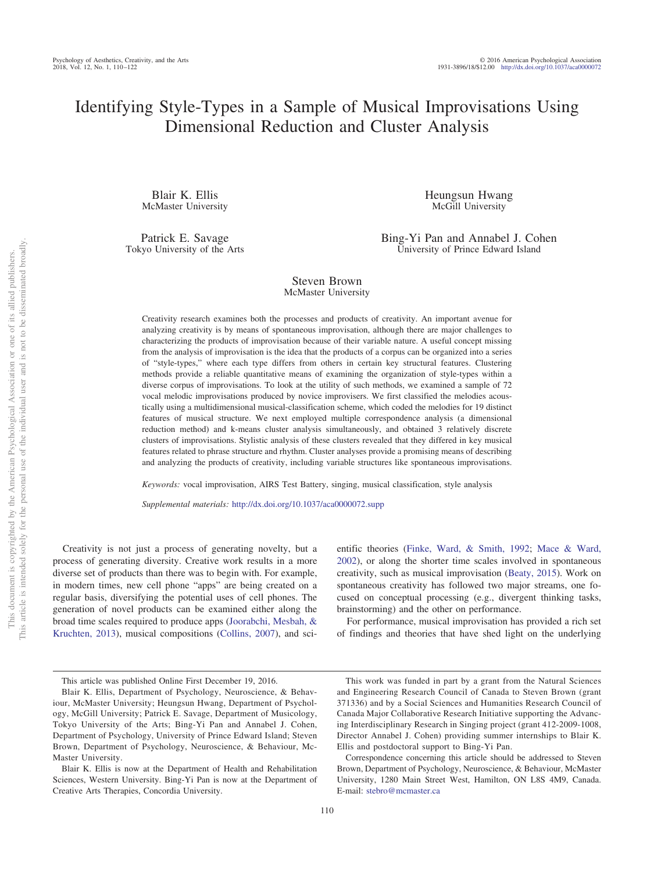# Identifying Style-Types in a Sample of Musical Improvisations Using Dimensional Reduction and Cluster Analysis

Blair K. Ellis McMaster University

Patrick E. Savage Tokyo University of the Arts Heungsun Hwang McGill University

Bing-Yi Pan and Annabel J. Cohen University of Prince Edward Island

# Steven Brown McMaster University

Creativity research examines both the processes and products of creativity. An important avenue for analyzing creativity is by means of spontaneous improvisation, although there are major challenges to characterizing the products of improvisation because of their variable nature. A useful concept missing from the analysis of improvisation is the idea that the products of a corpus can be organized into a series of "style-types," where each type differs from others in certain key structural features. Clustering methods provide a reliable quantitative means of examining the organization of style-types within a diverse corpus of improvisations. To look at the utility of such methods, we examined a sample of 72 vocal melodic improvisations produced by novice improvisers. We first classified the melodies acoustically using a multidimensional musical-classification scheme, which coded the melodies for 19 distinct features of musical structure. We next employed multiple correspondence analysis (a dimensional reduction method) and k-means cluster analysis simultaneously, and obtained 3 relatively discrete clusters of improvisations. Stylistic analysis of these clusters revealed that they differed in key musical features related to phrase structure and rhythm. Cluster analyses provide a promising means of describing and analyzing the products of creativity, including variable structures like spontaneous improvisations.

*Keywords:* vocal improvisation, AIRS Test Battery, singing, musical classification, style analysis

*Supplemental materials:* http://dx.doi.org[/10.1037/aca0000072.supp](http://dx.doi.org/10.1037/aca0000072.supp)

Creativity is not just a process of generating novelty, but a process of generating diversity. Creative work results in a more diverse set of products than there was to begin with. For example, in modern times, new cell phone "apps" are being created on a regular basis, diversifying the potential uses of cell phones. The generation of novel products can be examined either along the broad time scales required to produce apps [\(Joorabchi, Mesbah, &](#page-11-0) [Kruchten, 2013\)](#page-11-0), musical compositions [\(Collins, 2007\)](#page-10-0), and sci-

entific theories [\(Finke, Ward, & Smith, 1992;](#page-11-1) [Mace & Ward,](#page-11-2) [2002\)](#page-11-2), or along the shorter time scales involved in spontaneous creativity, such as musical improvisation [\(Beaty, 2015\)](#page-10-1). Work on spontaneous creativity has followed two major streams, one focused on conceptual processing (e.g., divergent thinking tasks, brainstorming) and the other on performance.

For performance, musical improvisation has provided a rich set of findings and theories that have shed light on the underlying

This article was published Online First December 19, 2016.

Blair K. Ellis, Department of Psychology, Neuroscience, & Behaviour, McMaster University; Heungsun Hwang, Department of Psychology, McGill University; Patrick E. Savage, Department of Musicology, Tokyo University of the Arts; Bing-Yi Pan and Annabel J. Cohen, Department of Psychology, University of Prince Edward Island; Steven Brown, Department of Psychology, Neuroscience, & Behaviour, Mc-Master University.

Blair K. Ellis is now at the Department of Health and Rehabilitation Sciences, Western University. Bing-Yi Pan is now at the Department of Creative Arts Therapies, Concordia University.

This work was funded in part by a grant from the Natural Sciences and Engineering Research Council of Canada to Steven Brown (grant 371336) and by a Social Sciences and Humanities Research Council of Canada Major Collaborative Research Initiative supporting the Advancing Interdisciplinary Research in Singing project (grant 412-2009-1008, Director Annabel J. Cohen) providing summer internships to Blair K. Ellis and postdoctoral support to Bing-Yi Pan.

Correspondence concerning this article should be addressed to Steven Brown, Department of Psychology, Neuroscience, & Behaviour, McMaster University, 1280 Main Street West, Hamilton, ON L8S 4M9, Canada. E-mail: [stebro@mcmaster.ca](mailto:stebro@mcmaster.ca)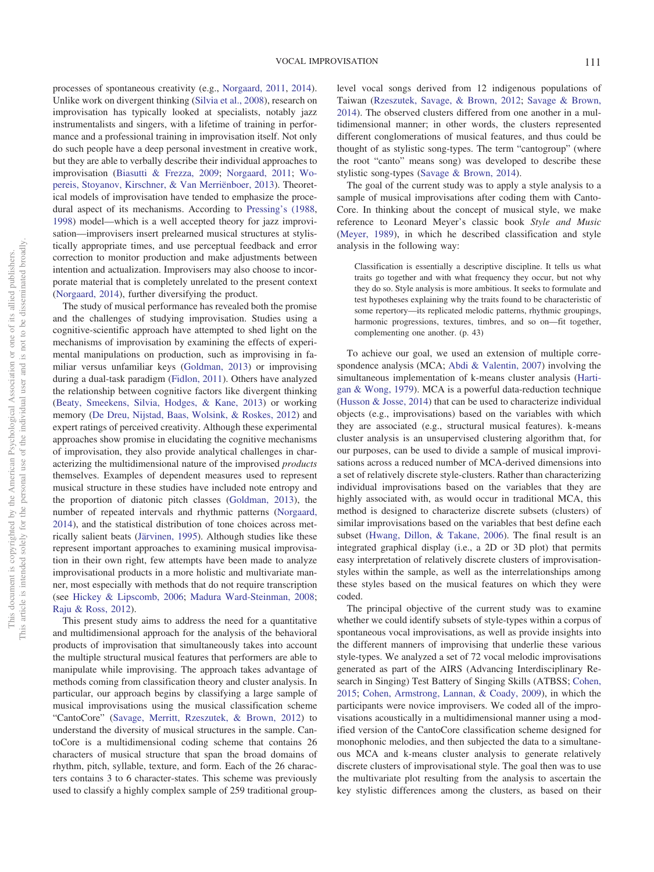processes of spontaneous creativity (e.g., [Norgaard, 2011,](#page-11-3) [2014\)](#page-11-4). Unlike work on divergent thinking [\(Silvia et al., 2008\)](#page-12-0), research on improvisation has typically looked at specialists, notably jazz instrumentalists and singers, with a lifetime of training in performance and a professional training in improvisation itself. Not only do such people have a deep personal investment in creative work, but they are able to verbally describe their individual approaches to improvisation [\(Biasutti & Frezza, 2009;](#page-10-2) [Norgaard, 2011;](#page-11-3) [Wo](#page-12-1)[pereis, Stoyanov, Kirschner, & Van Merriënboer, 2013\)](#page-12-1). Theoretical models of improvisation have tended to emphasize the procedural aspect of its mechanisms. According to [Pressing's \(1988,](#page-11-5) [1998\)](#page-11-6) model—which is a well accepted theory for jazz improvisation—improvisers insert prelearned musical structures at stylistically appropriate times, and use perceptual feedback and error correction to monitor production and make adjustments between intention and actualization. Improvisers may also choose to incorporate material that is completely unrelated to the present context [\(Norgaard, 2014\)](#page-11-4), further diversifying the product.

The study of musical performance has revealed both the promise and the challenges of studying improvisation. Studies using a cognitive-scientific approach have attempted to shed light on the mechanisms of improvisation by examining the effects of experimental manipulations on production, such as improvising in familiar versus unfamiliar keys [\(Goldman, 2013\)](#page-11-7) or improvising during a dual-task paradigm [\(Fidlon, 2011\)](#page-11-8). Others have analyzed the relationship between cognitive factors like divergent thinking [\(Beaty, Smeekens, Silvia, Hodges, & Kane, 2013\)](#page-10-3) or working memory [\(De Dreu, Nijstad, Baas, Wolsink, & Roskes, 2012\)](#page-10-4) and expert ratings of perceived creativity. Although these experimental approaches show promise in elucidating the cognitive mechanisms of improvisation, they also provide analytical challenges in characterizing the multidimensional nature of the improvised *products* themselves. Examples of dependent measures used to represent musical structure in these studies have included note entropy and the proportion of diatonic pitch classes [\(Goldman, 2013\)](#page-11-7), the number of repeated intervals and rhythmic patterns [\(Norgaard,](#page-11-4) [2014\)](#page-11-4), and the statistical distribution of tone choices across metrically salient beats [\(Järvinen, 1995\)](#page-11-9). Although studies like these represent important approaches to examining musical improvisation in their own right, few attempts have been made to analyze improvisational products in a more holistic and multivariate manner, most especially with methods that do not require transcription (see [Hickey & Lipscomb, 2006;](#page-11-10) [Madura Ward-Steinman, 2008;](#page-11-11) [Raju & Ross, 2012\)](#page-11-12).

This present study aims to address the need for a quantitative and multidimensional approach for the analysis of the behavioral products of improvisation that simultaneously takes into account the multiple structural musical features that performers are able to manipulate while improvising. The approach takes advantage of methods coming from classification theory and cluster analysis. In particular, our approach begins by classifying a large sample of musical improvisations using the musical classification scheme "CantoCore" [\(Savage, Merritt, Rzeszutek, & Brown, 2012\)](#page-11-13) to understand the diversity of musical structures in the sample. CantoCore is a multidimensional coding scheme that contains 26 characters of musical structure that span the broad domains of rhythm, pitch, syllable, texture, and form. Each of the 26 characters contains 3 to 6 character-states. This scheme was previously used to classify a highly complex sample of 259 traditional grouplevel vocal songs derived from 12 indigenous populations of Taiwan [\(Rzeszutek, Savage, & Brown, 2012;](#page-11-14) [Savage & Brown,](#page-11-15) [2014\)](#page-11-15). The observed clusters differed from one another in a multidimensional manner; in other words, the clusters represented different conglomerations of musical features, and thus could be thought of as stylistic song-types. The term "cantogroup" (where the root "canto" means song) was developed to describe these stylistic song-types [\(Savage & Brown, 2014\)](#page-11-15).

The goal of the current study was to apply a style analysis to a sample of musical improvisations after coding them with Canto-Core. In thinking about the concept of musical style, we make reference to Leonard Meyer's classic book *Style and Music* [\(Meyer, 1989\)](#page-11-16), in which he described classification and style analysis in the following way:

Classification is essentially a descriptive discipline. It tells us what traits go together and with what frequency they occur, but not why they do so. Style analysis is more ambitious. It seeks to formulate and test hypotheses explaining why the traits found to be characteristic of some repertory—its replicated melodic patterns, rhythmic groupings, harmonic progressions, textures, timbres, and so on—fit together, complementing one another. (p. 43)

To achieve our goal, we used an extension of multiple correspondence analysis (MCA; [Abdi & Valentin, 2007\)](#page-10-5) involving the simultaneous implementation of k-means cluster analysis [\(Harti](#page-11-17)[gan & Wong, 1979\)](#page-11-17). MCA is a powerful data-reduction technique [\(Husson & Josse, 2014\)](#page-11-18) that can be used to characterize individual objects (e.g., improvisations) based on the variables with which they are associated (e.g., structural musical features). k-means cluster analysis is an unsupervised clustering algorithm that, for our purposes, can be used to divide a sample of musical improvisations across a reduced number of MCA-derived dimensions into a set of relatively discrete style-clusters. Rather than characterizing individual improvisations based on the variables that they are highly associated with, as would occur in traditional MCA, this method is designed to characterize discrete subsets (clusters) of similar improvisations based on the variables that best define each subset [\(Hwang, Dillon, & Takane, 2006\)](#page-11-19). The final result is an integrated graphical display (i.e., a 2D or 3D plot) that permits easy interpretation of relatively discrete clusters of improvisationstyles within the sample, as well as the interrelationships among these styles based on the musical features on which they were coded.

The principal objective of the current study was to examine whether we could identify subsets of style-types within a corpus of spontaneous vocal improvisations, as well as provide insights into the different manners of improvising that underlie these various style-types. We analyzed a set of 72 vocal melodic improvisations generated as part of the AIRS (Advancing Interdisciplinary Research in Singing) Test Battery of Singing Skills (ATBSS; [Cohen,](#page-10-6) [2015;](#page-10-6) [Cohen, Armstrong, Lannan, & Coady, 2009\)](#page-10-7), in which the participants were novice improvisers. We coded all of the improvisations acoustically in a multidimensional manner using a modified version of the CantoCore classification scheme designed for monophonic melodies, and then subjected the data to a simultaneous MCA and k-means cluster analysis to generate relatively discrete clusters of improvisational style. The goal then was to use the multivariate plot resulting from the analysis to ascertain the key stylistic differences among the clusters, as based on their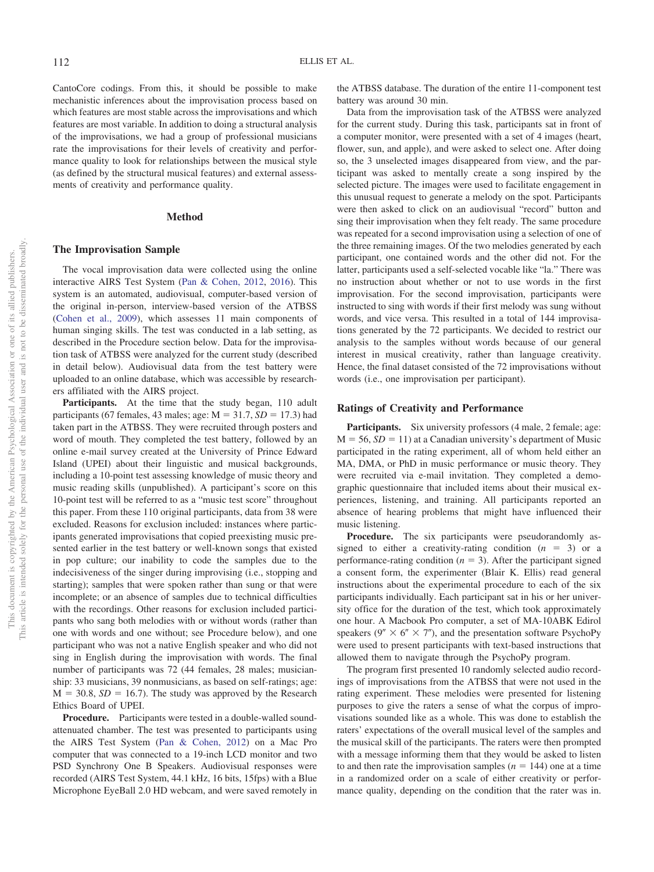CantoCore codings. From this, it should be possible to make mechanistic inferences about the improvisation process based on which features are most stable across the improvisations and which features are most variable. In addition to doing a structural analysis of the improvisations, we had a group of professional musicians rate the improvisations for their levels of creativity and performance quality to look for relationships between the musical style (as defined by the structural musical features) and external assessments of creativity and performance quality.

### **Method**

### **The Improvisation Sample**

The vocal improvisation data were collected using the online interactive AIRS Test System [\(Pan & Cohen, 2012,](#page-11-20) [2016\)](#page-11-21). This system is an automated, audiovisual, computer-based version of the original in-person, interview-based version of the ATBSS [\(Cohen et al., 2009\)](#page-10-7), which assesses 11 main components of human singing skills. The test was conducted in a lab setting, as described in the Procedure section below. Data for the improvisation task of ATBSS were analyzed for the current study (described in detail below). Audiovisual data from the test battery were uploaded to an online database, which was accessible by researchers affiliated with the AIRS project.

Participants. At the time that the study began, 110 adult participants (67 females, 43 males; age:  $M = 31.7$ ,  $SD = 17.3$ ) had taken part in the ATBSS. They were recruited through posters and word of mouth. They completed the test battery, followed by an online e-mail survey created at the University of Prince Edward Island (UPEI) about their linguistic and musical backgrounds, including a 10-point test assessing knowledge of music theory and music reading skills (unpublished). A participant's score on this 10-point test will be referred to as a "music test score" throughout this paper. From these 110 original participants, data from 38 were excluded. Reasons for exclusion included: instances where participants generated improvisations that copied preexisting music presented earlier in the test battery or well-known songs that existed in pop culture; our inability to code the samples due to the indecisiveness of the singer during improvising (i.e., stopping and starting); samples that were spoken rather than sung or that were incomplete; or an absence of samples due to technical difficulties with the recordings. Other reasons for exclusion included participants who sang both melodies with or without words (rather than one with words and one without; see Procedure below), and one participant who was not a native English speaker and who did not sing in English during the improvisation with words. The final number of participants was 72 (44 females, 28 males; musicianship: 33 musicians, 39 nonmusicians, as based on self-ratings; age:  $M = 30.8$ ,  $SD = 16.7$ ). The study was approved by the Research Ethics Board of UPEI.

**Procedure.** Participants were tested in a double-walled soundattenuated chamber. The test was presented to participants using the AIRS Test System [\(Pan & Cohen, 2012\)](#page-11-20) on a Mac Pro computer that was connected to a 19-inch LCD monitor and two PSD Synchrony One B Speakers. Audiovisual responses were recorded (AIRS Test System, 44.1 kHz, 16 bits, 15fps) with a Blue Microphone EyeBall 2.0 HD webcam, and were saved remotely in the ATBSS database. The duration of the entire 11-component test battery was around 30 min.

Data from the improvisation task of the ATBSS were analyzed for the current study. During this task, participants sat in front of a computer monitor, were presented with a set of 4 images (heart, flower, sun, and apple), and were asked to select one. After doing so, the 3 unselected images disappeared from view, and the participant was asked to mentally create a song inspired by the selected picture. The images were used to facilitate engagement in this unusual request to generate a melody on the spot. Participants were then asked to click on an audiovisual "record" button and sing their improvisation when they felt ready. The same procedure was repeated for a second improvisation using a selection of one of the three remaining images. Of the two melodies generated by each participant, one contained words and the other did not. For the latter, participants used a self-selected vocable like "la." There was no instruction about whether or not to use words in the first improvisation. For the second improvisation, participants were instructed to sing with words if their first melody was sung without words, and vice versa. This resulted in a total of 144 improvisations generated by the 72 participants. We decided to restrict our analysis to the samples without words because of our general interest in musical creativity, rather than language creativity. Hence, the final dataset consisted of the 72 improvisations without words (i.e., one improvisation per participant).

### **Ratings of Creativity and Performance**

**Participants.** Six university professors (4 male, 2 female; age:  $M = 56$ ,  $SD = 11$ ) at a Canadian university's department of Music participated in the rating experiment, all of whom held either an MA, DMA, or PhD in music performance or music theory. They were recruited via e-mail invitation. They completed a demographic questionnaire that included items about their musical experiences, listening, and training. All participants reported an absence of hearing problems that might have influenced their music listening.

**Procedure.** The six participants were pseudorandomly assigned to either a creativity-rating condition  $(n = 3)$  or a performance-rating condition  $(n = 3)$ . After the participant signed a consent form, the experimenter (Blair K. Ellis) read general instructions about the experimental procedure to each of the six participants individually. Each participant sat in his or her university office for the duration of the test, which took approximately one hour. A Macbook Pro computer, a set of MA-10ABK Edirol speakers (9"  $\times$  6"  $\times$  7"), and the presentation software PsychoPy were used to present participants with text-based instructions that allowed them to navigate through the PsychoPy program.

The program first presented 10 randomly selected audio recordings of improvisations from the ATBSS that were not used in the rating experiment. These melodies were presented for listening purposes to give the raters a sense of what the corpus of improvisations sounded like as a whole. This was done to establish the raters' expectations of the overall musical level of the samples and the musical skill of the participants. The raters were then prompted with a message informing them that they would be asked to listen to and then rate the improvisation samples  $(n = 144)$  one at a time in a randomized order on a scale of either creativity or performance quality, depending on the condition that the rater was in.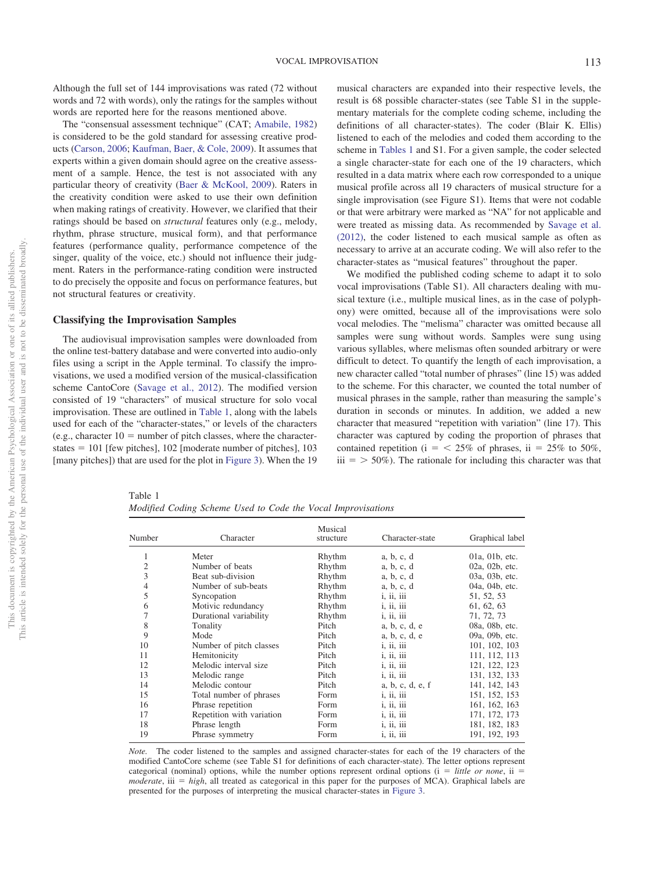Although the full set of 144 improvisations was rated (72 without words and 72 with words), only the ratings for the samples without words are reported here for the reasons mentioned above.

The "consensual assessment technique" (CAT; [Amabile, 1982\)](#page-10-8) is considered to be the gold standard for assessing creative products [\(Carson, 2006;](#page-10-9) [Kaufman, Baer, & Cole, 2009\)](#page-11-22). It assumes that experts within a given domain should agree on the creative assessment of a sample. Hence, the test is not associated with any particular theory of creativity [\(Baer & McKool, 2009\)](#page-10-10). Raters in the creativity condition were asked to use their own definition when making ratings of creativity. However, we clarified that their ratings should be based on *structural* features only (e.g., melody, rhythm, phrase structure, musical form), and that performance features (performance quality, performance competence of the singer, quality of the voice, etc.) should not influence their judgment. Raters in the performance-rating condition were instructed to do precisely the opposite and focus on performance features, but not structural features or creativity.

### **Classifying the Improvisation Samples**

The audiovisual improvisation samples were downloaded from the online test-battery database and were converted into audio-only files using a script in the Apple terminal. To classify the improvisations, we used a modified version of the musical-classification scheme CantoCore [\(Savage et al., 2012\)](#page-11-13). The modified version consisted of 19 "characters" of musical structure for solo vocal improvisation. These are outlined in [Table 1,](#page-3-0) along with the labels used for each of the "character-states," or levels of the characters  $(e.g., character 10 = number of pitch classes, where the character$ states = 101 [few pitches], 102 [moderate number of pitches], 103 [many pitches]) that are used for the plot in [Figure 3\)](#page-6-0). When the 19

<span id="page-3-0"></span>Table 1

| Modified Coding Scheme Used to Code the Vocal Improvisations |  |  |  |
|--------------------------------------------------------------|--|--|--|
|--------------------------------------------------------------|--|--|--|

musical characters are expanded into their respective levels, the result is 68 possible character-states (see Table S1 in the supplementary materials for the complete coding scheme, including the definitions of all character-states). The coder (Blair K. Ellis) listened to each of the melodies and coded them according to the scheme in [Tables 1](#page-3-0) and S1. For a given sample, the coder selected a single character-state for each one of the 19 characters, which resulted in a data matrix where each row corresponded to a unique musical profile across all 19 characters of musical structure for a single improvisation (see Figure S1). Items that were not codable or that were arbitrary were marked as "NA" for not applicable and were treated as missing data. As recommended by [Savage et al.](#page-11-13) [\(2012\),](#page-11-13) the coder listened to each musical sample as often as necessary to arrive at an accurate coding. We will also refer to the character-states as "musical features" throughout the paper.

We modified the published coding scheme to adapt it to solo vocal improvisations (Table S1). All characters dealing with musical texture (i.e., multiple musical lines, as in the case of polyphony) were omitted, because all of the improvisations were solo vocal melodies. The "melisma" character was omitted because all samples were sung without words. Samples were sung using various syllables, where melismas often sounded arbitrary or were difficult to detect. To quantify the length of each improvisation, a new character called "total number of phrases" (line 15) was added to the scheme. For this character, we counted the total number of musical phrases in the sample, rather than measuring the sample's duration in seconds or minutes. In addition, we added a new character that measured "repetition with variation" (line 17). This character was captured by coding the proportion of phrases that contained repetition ( $i = 25\%$  of phrases,  $ii = 25\%$  to 50%,  $\delta$  iii =  $>$  50%). The rationale for including this character was that

| Number | Character                 | structure | Character-state  | Graphical label |
|--------|---------------------------|-----------|------------------|-----------------|
| 1      | Meter                     | Rhythm    | a, b, c, d       | 01a, 01b, etc.  |
| 2      | Number of beats           | Rhythm    | a, b, c, d       | 02a, 02b, etc.  |
| 3      | Beat sub-division         | Rhythm    | a, b, c, d       | 03a, 03b, etc.  |
| 4      | Number of sub-beats       | Rhythm    | a, b, c, d       | 04a, 04b, etc.  |
| 5      | Syncopation               | Rhythm    | i, ii, iii       | 51, 52, 53      |
| 6      | Motivic redundancy        | Rhythm    | i, ii, iii       | 61, 62, 63      |
| 7      | Durational variability    | Rhythm    | i, ii, iii       | 71, 72, 73      |
| 8      | Tonality                  | Pitch     | a, b, c, d, e    | 08a, 08b, etc.  |
| 9      | Mode                      | Pitch     | a, b, c, d, e    | 09a, 09b, etc.  |
| 10     | Number of pitch classes   | Pitch     | i, ii, iii       | 101, 102, 103   |
| 11     | Hemitonicity              | Pitch     | i, ii, iii       | 111, 112, 113   |
| 12     | Melodic interval size     | Pitch     | i, ii, iii       | 121, 122, 123   |
| 13     | Melodic range             | Pitch     | i, ii, iii       | 131, 132, 133   |
| 14     | Melodic contour           | Pitch     | a, b, c, d, e, f | 141, 142, 143   |
| 15     | Total number of phrases   | Form      | i, ii, iii       | 151, 152, 153   |
| 16     | Phrase repetition         | Form      | i, ii, iii       | 161, 162, 163   |
| 17     | Repetition with variation | Form      | i, ii, iii       | 171, 172, 173   |
| 18     | Phrase length             | Form      | i, ii, iii       | 181, 182, 183   |
| 19     | Phrase symmetry           | Form      | i, ii, iii       | 191, 192, 193   |

Musical

*Note.* The coder listened to the samples and assigned character-states for each of the 19 characters of the modified CantoCore scheme (see Table S1 for definitions of each character-state). The letter options represent categorical (nominal) options, while the number options represent ordinal options  $(i = little or none, ii =$ *moderate*, iii = *high*, all treated as categorical in this paper for the purposes of MCA). Graphical labels are presented for the purposes of interpreting the musical character-states in [Figure 3.](#page-6-0)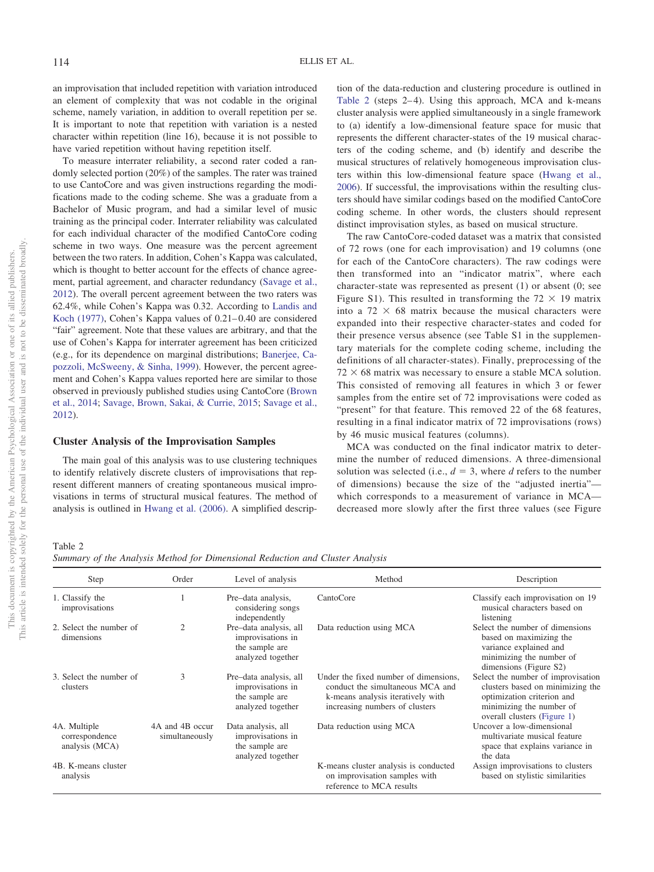an improvisation that included repetition with variation introduced an element of complexity that was not codable in the original scheme, namely variation, in addition to overall repetition per se. It is important to note that repetition with variation is a nested character within repetition (line 16), because it is not possible to have varied repetition without having repetition itself.

To measure interrater reliability, a second rater coded a randomly selected portion (20%) of the samples. The rater was trained to use CantoCore and was given instructions regarding the modifications made to the coding scheme. She was a graduate from a Bachelor of Music program, and had a similar level of music training as the principal coder. Interrater reliability was calculated for each individual character of the modified CantoCore coding scheme in two ways. One measure was the percent agreement between the two raters. In addition, Cohen's Kappa was calculated, which is thought to better account for the effects of chance agreement, partial agreement, and character redundancy [\(Savage et al.,](#page-11-13) [2012\)](#page-11-13). The overall percent agreement between the two raters was 62.4%, while Cohen's Kappa was 0.32. According to [Landis and](#page-11-23) [Koch \(1977\),](#page-11-23) Cohen's Kappa values of 0.21–0.40 are considered "fair" agreement. Note that these values are arbitrary, and that the use of Cohen's Kappa for interrater agreement has been criticized (e.g., for its dependence on marginal distributions; [Banerjee, Ca](#page-10-11)[pozzoli, McSweeny, & Sinha, 1999\)](#page-10-11). However, the percent agreement and Cohen's Kappa values reported here are similar to those observed in previously published studies using CantoCore [\(Brown](#page-10-12) [et al., 2014;](#page-10-12) [Savage, Brown, Sakai, & Currie, 2015;](#page-11-24) [Savage et al.,](#page-11-13) [2012\)](#page-11-13).

# **Cluster Analysis of the Improvisation Samples**

The main goal of this analysis was to use clustering techniques to identify relatively discrete clusters of improvisations that represent different manners of creating spontaneous musical improvisations in terms of structural musical features. The method of analysis is outlined in [Hwang et al. \(2006\).](#page-11-19) A simplified description of the data-reduction and clustering procedure is outlined in [Table 2](#page-4-0) (steps 2–4). Using this approach, MCA and k-means cluster analysis were applied simultaneously in a single framework to (a) identify a low-dimensional feature space for music that represents the different character-states of the 19 musical characters of the coding scheme, and (b) identify and describe the musical structures of relatively homogeneous improvisation clusters within this low-dimensional feature space [\(Hwang et al.,](#page-11-19) [2006\)](#page-11-19). If successful, the improvisations within the resulting clusters should have similar codings based on the modified CantoCore coding scheme. In other words, the clusters should represent distinct improvisation styles, as based on musical structure.

The raw CantoCore-coded dataset was a matrix that consisted of 72 rows (one for each improvisation) and 19 columns (one for each of the CantoCore characters). The raw codings were then transformed into an "indicator matrix", where each character-state was represented as present (1) or absent (0; see Figure S1). This resulted in transforming the  $72 \times 19$  matrix into a  $72 \times 68$  matrix because the musical characters were expanded into their respective character-states and coded for their presence versus absence (see Table S1 in the supplementary materials for the complete coding scheme, including the definitions of all character-states). Finally, preprocessing of the  $72 \times 68$  matrix was necessary to ensure a stable MCA solution. This consisted of removing all features in which 3 or fewer samples from the entire set of 72 improvisations were coded as "present" for that feature. This removed 22 of the 68 features, resulting in a final indicator matrix of 72 improvisations (rows) by 46 music musical features (columns).

MCA was conducted on the final indicator matrix to determine the number of reduced dimensions. A three-dimensional solution was selected (i.e.,  $d = 3$ , where *d* refers to the number of dimensions) because the size of the "adjusted inertia" which corresponds to a measurement of variance in MCA decreased more slowly after the first three values (see Figure

<span id="page-4-0"></span>Table 2

*Summary of the Analysis Method for Dimensional Reduction and Cluster Analysis*

| Step                                             | Order                             | Level of analysis                                                                  | Method                                                                                                                                           | Description                                                                                                                                                     |
|--------------------------------------------------|-----------------------------------|------------------------------------------------------------------------------------|--------------------------------------------------------------------------------------------------------------------------------------------------|-----------------------------------------------------------------------------------------------------------------------------------------------------------------|
| 1. Classify the<br>improvisations                |                                   | Pre-data analysis,<br>considering songs<br>independently                           | CantoCore                                                                                                                                        | Classify each improvisation on 19<br>musical characters based on<br>listening                                                                                   |
| 2. Select the number of<br>dimensions            | 2                                 | Pre-data analysis, all<br>improvisations in<br>the sample are<br>analyzed together | Data reduction using MCA                                                                                                                         | Select the number of dimensions<br>based on maximizing the<br>variance explained and<br>minimizing the number of<br>dimensions (Figure S2)                      |
| 3. Select the number of<br>clusters              | 3                                 | Pre-data analysis, all<br>improvisations in<br>the sample are<br>analyzed together | Under the fixed number of dimensions,<br>conduct the simultaneous MCA and<br>k-means analysis iteratively with<br>increasing numbers of clusters | Select the number of improvisation<br>clusters based on minimizing the<br>optimization criterion and<br>minimizing the number of<br>overall clusters (Figure 1) |
| 4A. Multiple<br>correspondence<br>analysis (MCA) | 4A and 4B occur<br>simultaneously | Data analysis, all<br>improvisations in<br>the sample are<br>analyzed together     | Data reduction using MCA                                                                                                                         | Uncover a low-dimensional<br>multivariate musical feature<br>space that explains variance in<br>the data                                                        |
| 4B. K-means cluster<br>analysis                  |                                   |                                                                                    | K-means cluster analysis is conducted<br>on improvisation samples with<br>reference to MCA results                                               | Assign improvisations to clusters<br>based on stylistic similarities                                                                                            |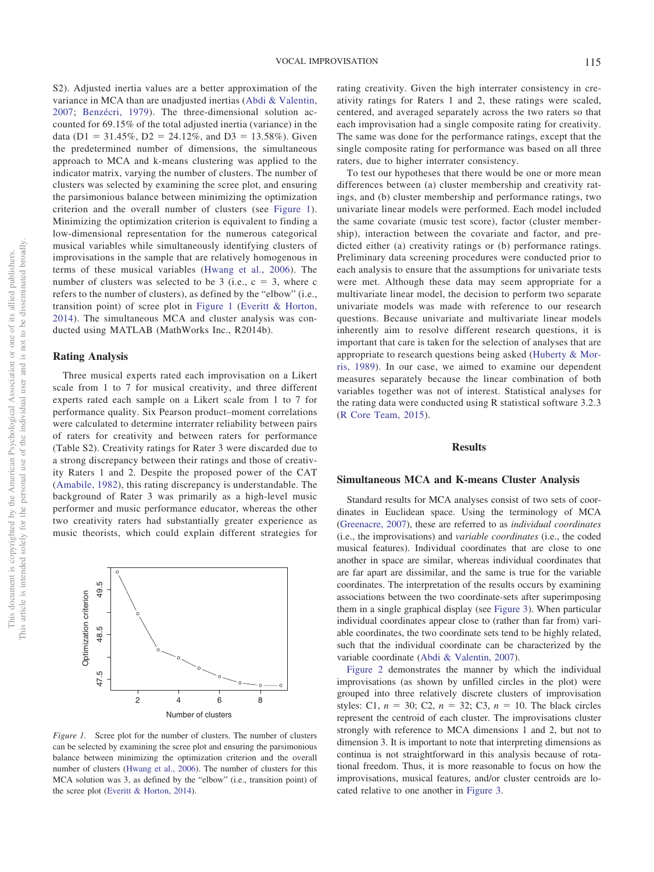S2). Adjusted inertia values are a better approximation of the variance in MCA than are unadjusted inertias [\(Abdi & Valentin,](#page-10-5) [2007;](#page-10-5) [Benzécri, 1979\)](#page-10-13). The three-dimensional solution accounted for 69.15% of the total adjusted inertia (variance) in the data (D1 = 31.45%, D2 = 24.12%, and D3 = 13.58%). Given the predetermined number of dimensions, the simultaneous approach to MCA and k-means clustering was applied to the indicator matrix, varying the number of clusters. The number of clusters was selected by examining the scree plot, and ensuring the parsimonious balance between minimizing the optimization criterion and the overall number of clusters (see [Figure 1\)](#page-5-0). Minimizing the optimization criterion is equivalent to finding a low-dimensional representation for the numerous categorical musical variables while simultaneously identifying clusters of improvisations in the sample that are relatively homogenous in terms of these musical variables [\(Hwang et al., 2006\)](#page-11-19). The number of clusters was selected to be 3 (i.e.,  $c = 3$ , where c refers to the number of clusters), as defined by the "elbow" (i.e., transition point) of scree plot in [Figure 1](#page-5-0) [\(Everitt & Horton,](#page-10-14) [2014\)](#page-10-14). The simultaneous MCA and cluster analysis was conducted using MATLAB (MathWorks Inc., R2014b).

# **Rating Analysis**

Three musical experts rated each improvisation on a Likert scale from 1 to 7 for musical creativity, and three different experts rated each sample on a Likert scale from 1 to 7 for performance quality. Six Pearson product–moment correlations were calculated to determine interrater reliability between pairs of raters for creativity and between raters for performance (Table S2). Creativity ratings for Rater 3 were discarded due to a strong discrepancy between their ratings and those of creativity Raters 1 and 2. Despite the proposed power of the CAT [\(Amabile, 1982\)](#page-10-8), this rating discrepancy is understandable. The background of Rater 3 was primarily as a high-level music performer and music performance educator, whereas the other two creativity raters had substantially greater experience as music theorists, which could explain different strategies for



<span id="page-5-0"></span>*Figure 1.* Scree plot for the number of clusters. The number of clusters can be selected by examining the scree plot and ensuring the parsimonious balance between minimizing the optimization criterion and the overall number of clusters [\(Hwang et al., 2006\)](#page-11-19). The number of clusters for this MCA solution was 3, as defined by the "elbow" (i.e., transition point) of the scree plot [\(Everitt & Horton, 2014\)](#page-10-14).

rating creativity. Given the high interrater consistency in creativity ratings for Raters 1 and 2, these ratings were scaled, centered, and averaged separately across the two raters so that each improvisation had a single composite rating for creativity. The same was done for the performance ratings, except that the single composite rating for performance was based on all three raters, due to higher interrater consistency.

To test our hypotheses that there would be one or more mean differences between (a) cluster membership and creativity ratings, and (b) cluster membership and performance ratings, two univariate linear models were performed. Each model included the same covariate (music test score), factor (cluster membership), interaction between the covariate and factor, and predicted either (a) creativity ratings or (b) performance ratings. Preliminary data screening procedures were conducted prior to each analysis to ensure that the assumptions for univariate tests were met. Although these data may seem appropriate for a multivariate linear model, the decision to perform two separate univariate models was made with reference to our research questions. Because univariate and multivariate linear models inherently aim to resolve different research questions, it is important that care is taken for the selection of analyses that are appropriate to research questions being asked [\(Huberty & Mor](#page-11-25)[ris, 1989\)](#page-11-25). In our case, we aimed to examine our dependent measures separately because the linear combination of both variables together was not of interest. Statistical analyses for the rating data were conducted using R statistical software 3.2.3 [\(R Core Team, 2015\)](#page-11-26).

### **Results**

### **Simultaneous MCA and K-means Cluster Analysis**

Standard results for MCA analyses consist of two sets of coordinates in Euclidean space. Using the terminology of MCA [\(Greenacre, 2007\)](#page-11-27), these are referred to as *individual coordinates* (i.e., the improvisations) and *variable coordinates* (i.e., the coded musical features). Individual coordinates that are close to one another in space are similar, whereas individual coordinates that are far apart are dissimilar, and the same is true for the variable coordinates. The interpretation of the results occurs by examining associations between the two coordinate-sets after superimposing them in a single graphical display (see [Figure 3\)](#page-6-0). When particular individual coordinates appear close to (rather than far from) variable coordinates, the two coordinate sets tend to be highly related, such that the individual coordinate can be characterized by the variable coordinate [\(Abdi & Valentin, 2007\)](#page-10-5).

[Figure 2](#page-6-1) demonstrates the manner by which the individual improvisations (as shown by unfilled circles in the plot) were grouped into three relatively discrete clusters of improvisation styles: C1,  $n = 30$ ; C2,  $n = 32$ ; C3,  $n = 10$ . The black circles represent the centroid of each cluster. The improvisations cluster strongly with reference to MCA dimensions 1 and 2, but not to dimension 3. It is important to note that interpreting dimensions as continua is not straightforward in this analysis because of rotational freedom. Thus, it is more reasonable to focus on how the improvisations, musical features, and/or cluster centroids are located relative to one another in [Figure 3.](#page-6-0)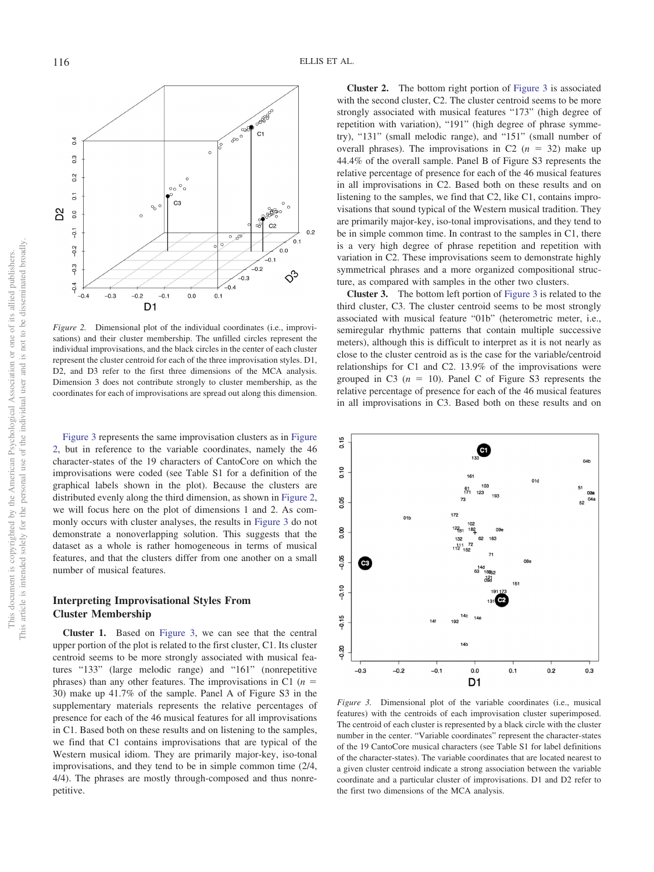

<span id="page-6-1"></span>*Figure 2.* Dimensional plot of the individual coordinates (i.e., improvisations) and their cluster membership. The unfilled circles represent the individual improvisations, and the black circles in the center of each cluster represent the cluster centroid for each of the three improvisation styles. D1, D2, and D3 refer to the first three dimensions of the MCA analysis. Dimension 3 does not contribute strongly to cluster membership, as the coordinates for each of improvisations are spread out along this dimension.

[Figure 3](#page-6-0) represents the same improvisation clusters as in [Figure](#page-6-1) [2,](#page-6-1) but in reference to the variable coordinates, namely the 46 character-states of the 19 characters of CantoCore on which the improvisations were coded (see Table S1 for a definition of the graphical labels shown in the plot). Because the clusters are distributed evenly along the third dimension, as shown in [Figure 2,](#page-6-1) we will focus here on the plot of dimensions 1 and 2. As commonly occurs with cluster analyses, the results in [Figure 3](#page-6-0) do not demonstrate a nonoverlapping solution. This suggests that the dataset as a whole is rather homogeneous in terms of musical features, and that the clusters differ from one another on a small number of musical features.

# **Interpreting Improvisational Styles From Cluster Membership**

**Cluster 1.** Based on [Figure 3,](#page-6-0) we can see that the central upper portion of the plot is related to the first cluster, C1. Its cluster centroid seems to be more strongly associated with musical features "133" (large melodic range) and "161" (nonrepetitive phrases) than any other features. The improvisations in C1 ( $n =$ 30) make up 41.7% of the sample. Panel A of Figure S3 in the supplementary materials represents the relative percentages of presence for each of the 46 musical features for all improvisations in C1. Based both on these results and on listening to the samples, we find that C1 contains improvisations that are typical of the Western musical idiom. They are primarily major-key, iso-tonal improvisations, and they tend to be in simple common time (2/4, 4/4). The phrases are mostly through-composed and thus nonrepetitive.

**Cluster 2.** The bottom right portion of [Figure 3](#page-6-0) is associated with the second cluster, C2. The cluster centroid seems to be more strongly associated with musical features "173" (high degree of repetition with variation), "191" (high degree of phrase symmetry), "131" (small melodic range), and "151" (small number of overall phrases). The improvisations in C2  $(n = 32)$  make up 44.4% of the overall sample. Panel B of Figure S3 represents the relative percentage of presence for each of the 46 musical features in all improvisations in C2. Based both on these results and on listening to the samples, we find that C2, like C1, contains improvisations that sound typical of the Western musical tradition. They are primarily major-key, iso-tonal improvisations, and they tend to be in simple common time. In contrast to the samples in C1, there is a very high degree of phrase repetition and repetition with variation in C2. These improvisations seem to demonstrate highly symmetrical phrases and a more organized compositional structure, as compared with samples in the other two clusters.

**Cluster 3.** The bottom left portion of [Figure 3](#page-6-0) is related to the third cluster, C3. The cluster centroid seems to be most strongly associated with musical feature "01b" (heterometric meter, i.e., semiregular rhythmic patterns that contain multiple successive meters), although this is difficult to interpret as it is not nearly as close to the cluster centroid as is the case for the variable/centroid relationships for C1 and C2. 13.9% of the improvisations were grouped in C3  $(n = 10)$ . Panel C of Figure S3 represents the relative percentage of presence for each of the 46 musical features in all improvisations in C3. Based both on these results and on



<span id="page-6-0"></span>*Figure 3.* Dimensional plot of the variable coordinates (i.e., musical features) with the centroids of each improvisation cluster superimposed. The centroid of each cluster is represented by a black circle with the cluster number in the center. "Variable coordinates" represent the character-states of the 19 CantoCore musical characters (see Table S1 for label definitions of the character-states). The variable coordinates that are located nearest to a given cluster centroid indicate a strong association between the variable coordinate and a particular cluster of improvisations. D1 and D2 refer to the first two dimensions of the MCA analysis.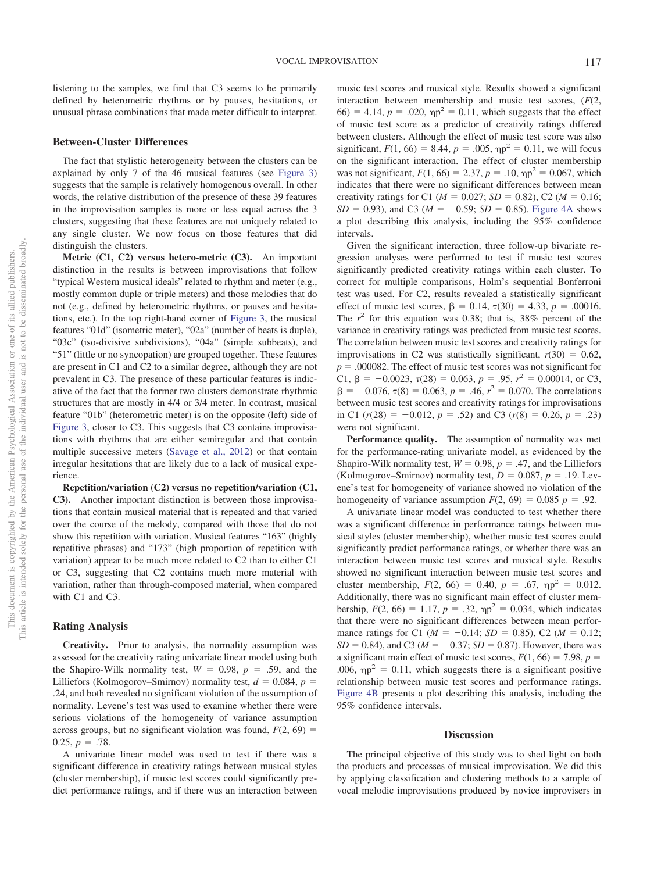listening to the samples, we find that C3 seems to be primarily defined by heterometric rhythms or by pauses, hesitations, or unusual phrase combinations that made meter difficult to interpret.

### **Between-Cluster Differences**

The fact that stylistic heterogeneity between the clusters can be explained by only 7 of the 46 musical features (see [Figure 3\)](#page-6-0) suggests that the sample is relatively homogenous overall. In other words, the relative distribution of the presence of these 39 features in the improvisation samples is more or less equal across the 3 clusters, suggesting that these features are not uniquely related to any single cluster. We now focus on those features that did distinguish the clusters.

**Metric (C1, C2) versus hetero-metric (C3).** An important distinction in the results is between improvisations that follow "typical Western musical ideals" related to rhythm and meter (e.g., mostly common duple or triple meters) and those melodies that do not (e.g., defined by heterometric rhythms, or pauses and hesitations, etc.). In the top right-hand corner of [Figure 3,](#page-6-0) the musical features "01d" (isometric meter), "02a" (number of beats is duple), "03c" (iso-divisive subdivisions), "04a" (simple subbeats), and "51" (little or no syncopation) are grouped together. These features are present in C1 and C2 to a similar degree, although they are not prevalent in C3. The presence of these particular features is indicative of the fact that the former two clusters demonstrate rhythmic structures that are mostly in 4/4 or 3/4 meter. In contrast, musical feature "01b" (heterometric meter) is on the opposite (left) side of [Figure 3,](#page-6-0) closer to C3. This suggests that C3 contains improvisations with rhythms that are either semiregular and that contain multiple successive meters [\(Savage et al., 2012\)](#page-11-13) or that contain irregular hesitations that are likely due to a lack of musical experience.

**Repetition/variation (C2) versus no repetition/variation (C1, C3).** Another important distinction is between those improvisations that contain musical material that is repeated and that varied over the course of the melody, compared with those that do not show this repetition with variation. Musical features "163" (highly repetitive phrases) and "173" (high proportion of repetition with variation) appear to be much more related to C2 than to either C1 or C3, suggesting that C2 contains much more material with variation, rather than through-composed material, when compared with C1 and C3.

### **Rating Analysis**

**Creativity.** Prior to analysis, the normality assumption was assessed for the creativity rating univariate linear model using both the Shapiro-Wilk normality test,  $W = 0.98$ ,  $p = .59$ , and the Lilliefors (Kolmogorov–Smirnov) normality test,  $d = 0.084$ ,  $p =$ .24, and both revealed no significant violation of the assumption of normality. Levene's test was used to examine whether there were serious violations of the homogeneity of variance assumption across groups, but no significant violation was found,  $F(2, 69) =$  $0.25, p = .78.$ 

A univariate linear model was used to test if there was a significant difference in creativity ratings between musical styles (cluster membership), if music test scores could significantly predict performance ratings, and if there was an interaction between

music test scores and musical style. Results showed a significant interaction between membership and music test scores, (*F*(2, 66) = 4.14,  $p = .020$ ,  $np^2 = 0.11$ , which suggests that the effect of music test score as a predictor of creativity ratings differed between clusters. Although the effect of music test score was also significant,  $F(1, 66) = 8.44$ ,  $p = .005$ ,  $np^2 = 0.11$ , we will focus on the significant interaction. The effect of cluster membership was not significant,  $F(1, 66) = 2.37$ ,  $p = .10$ ,  $np^2 = 0.067$ , which indicates that there were no significant differences between mean creativity ratings for C1 ( $M = 0.027$ ;  $SD = 0.82$ ), C2 ( $M = 0.16$ ;  $SD = 0.93$ ), and C3 ( $M = -0.59$ ;  $SD = 0.85$ ). [Figure 4A](#page-8-0) shows a plot describing this analysis, including the 95% confidence intervals.

Given the significant interaction, three follow-up bivariate regression analyses were performed to test if music test scores significantly predicted creativity ratings within each cluster. To correct for multiple comparisons, Holm's sequential Bonferroni test was used. For C2, results revealed a statistically significant effect of music test scores,  $\beta = 0.14$ ,  $\tau(30) = 4.33$ ,  $p = .00016$ . The  $r^2$  for this equation was 0.38; that is, 38% percent of the variance in creativity ratings was predicted from music test scores. The correlation between music test scores and creativity ratings for improvisations in C2 was statistically significant,  $r(30) = 0.62$ ,  $p = 0.000082$ . The effect of music test scores was not significant for C1,  $\beta = -0.0023$ ,  $\tau(28) = 0.063$ ,  $p = .95$ ,  $r^2 = 0.00014$ , or C3,  $\beta = -0.076$ ,  $\tau(8) = 0.063$ ,  $p = .46$ ,  $r^2 = 0.070$ . The correlations between music test scores and creativity ratings for improvisations in C1 ( $r(28) = -0.012$ ,  $p = .52$ ) and C3 ( $r(8) = 0.26$ ,  $p = .23$ ) were not significant.

**Performance quality.** The assumption of normality was met for the performance-rating univariate model, as evidenced by the Shapiro-Wilk normality test,  $W = 0.98$ ,  $p = .47$ , and the Lilliefors (Kolmogorov–Smirnov) normality test,  $D = 0.087$ ,  $p = .19$ . Levene's test for homogeneity of variance showed no violation of the homogeneity of variance assumption  $F(2, 69) = 0.085$   $p = .92$ .

A univariate linear model was conducted to test whether there was a significant difference in performance ratings between musical styles (cluster membership), whether music test scores could significantly predict performance ratings, or whether there was an interaction between music test scores and musical style. Results showed no significant interaction between music test scores and cluster membership,  $F(2, 66) = 0.40$ ,  $p = .67$ ,  $np^2 = 0.012$ . Additionally, there was no significant main effect of cluster membership,  $F(2, 66) = 1.17$ ,  $p = .32$ ,  $\eta p^2 = 0.034$ , which indicates that there were no significant differences between mean performance ratings for C1 ( $M = -0.14$ ; *SD* = 0.85), C2 ( $M = 0.12$ ;  $SD = 0.84$ ), and C3 ( $M = -0.37$ ;  $SD = 0.87$ ). However, there was a significant main effect of music test scores,  $F(1, 66) = 7.98$ ,  $p =$ .006,  $np^2 = 0.11$ , which suggests there is a significant positive relationship between music test scores and performance ratings. [Figure 4B](#page-8-0) presents a plot describing this analysis, including the 95% confidence intervals.

### **Discussion**

The principal objective of this study was to shed light on both the products and processes of musical improvisation. We did this by applying classification and clustering methods to a sample of vocal melodic improvisations produced by novice improvisers in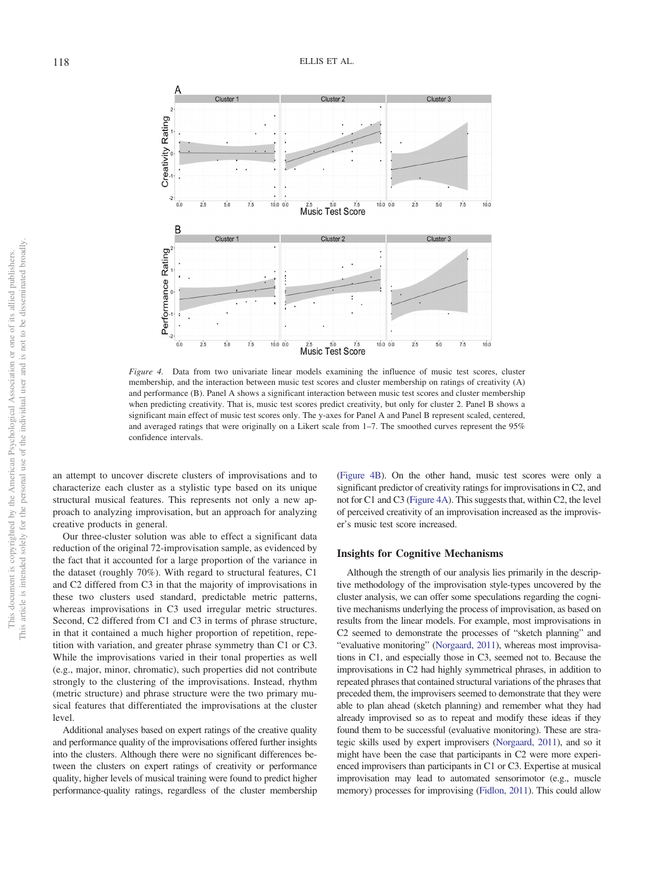

<span id="page-8-0"></span>*Figure 4.* Data from two univariate linear models examining the influence of music test scores, cluster membership, and the interaction between music test scores and cluster membership on ratings of creativity (A) and performance (B). Panel A shows a significant interaction between music test scores and cluster membership when predicting creativity. That is, music test scores predict creativity, but only for cluster 2. Panel B shows a significant main effect of music test scores only. The y-axes for Panel A and Panel B represent scaled, centered, and averaged ratings that were originally on a Likert scale from 1–7. The smoothed curves represent the 95% confidence intervals.

an attempt to uncover discrete clusters of improvisations and to characterize each cluster as a stylistic type based on its unique structural musical features. This represents not only a new approach to analyzing improvisation, but an approach for analyzing creative products in general.

Our three-cluster solution was able to effect a significant data reduction of the original 72-improvisation sample, as evidenced by the fact that it accounted for a large proportion of the variance in the dataset (roughly 70%). With regard to structural features, C1 and C2 differed from C3 in that the majority of improvisations in these two clusters used standard, predictable metric patterns, whereas improvisations in C3 used irregular metric structures. Second, C2 differed from C1 and C3 in terms of phrase structure, in that it contained a much higher proportion of repetition, repetition with variation, and greater phrase symmetry than C1 or C3. While the improvisations varied in their tonal properties as well (e.g., major, minor, chromatic), such properties did not contribute strongly to the clustering of the improvisations. Instead, rhythm (metric structure) and phrase structure were the two primary musical features that differentiated the improvisations at the cluster level.

Additional analyses based on expert ratings of the creative quality and performance quality of the improvisations offered further insights into the clusters. Although there were no significant differences between the clusters on expert ratings of creativity or performance quality, higher levels of musical training were found to predict higher performance-quality ratings, regardless of the cluster membership

[\(Figure 4B\)](#page-8-0). On the other hand, music test scores were only a significant predictor of creativity ratings for improvisations in C2, and not for C1 and C3 [\(Figure 4A\)](#page-8-0). This suggests that, within C2, the level of perceived creativity of an improvisation increased as the improviser's music test score increased.

#### **Insights for Cognitive Mechanisms**

Although the strength of our analysis lies primarily in the descriptive methodology of the improvisation style-types uncovered by the cluster analysis, we can offer some speculations regarding the cognitive mechanisms underlying the process of improvisation, as based on results from the linear models. For example, most improvisations in C2 seemed to demonstrate the processes of "sketch planning" and "evaluative monitoring" [\(Norgaard, 2011\)](#page-11-3), whereas most improvisations in C1, and especially those in C3, seemed not to. Because the improvisations in C2 had highly symmetrical phrases, in addition to repeated phrases that contained structural variations of the phrases that preceded them, the improvisers seemed to demonstrate that they were able to plan ahead (sketch planning) and remember what they had already improvised so as to repeat and modify these ideas if they found them to be successful (evaluative monitoring). These are strategic skills used by expert improvisers [\(Norgaard, 2011\)](#page-11-3), and so it might have been the case that participants in C2 were more experienced improvisers than participants in C1 or C3. Expertise at musical improvisation may lead to automated sensorimotor (e.g., muscle memory) processes for improvising [\(Fidlon, 2011\)](#page-11-8). This could allow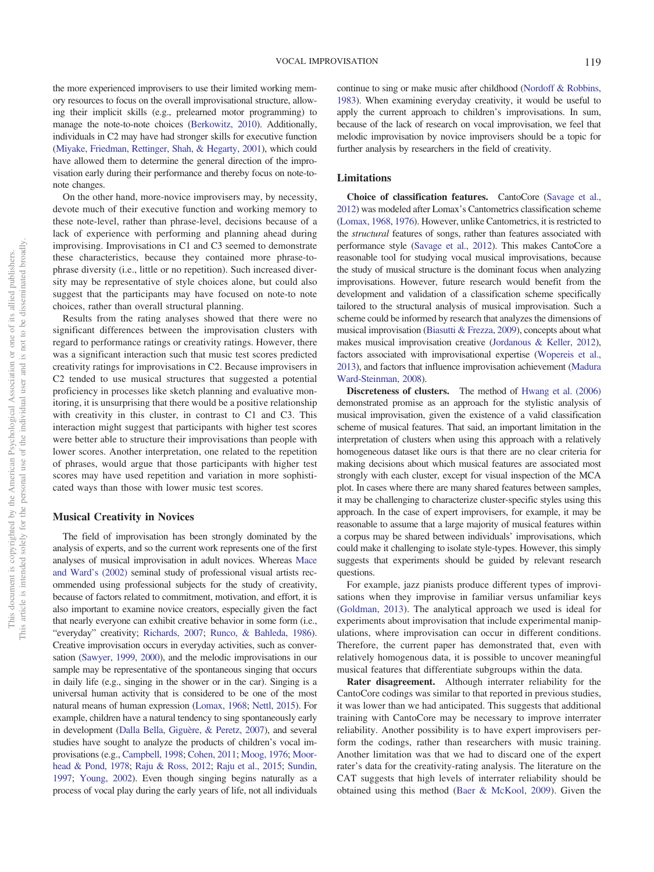the more experienced improvisers to use their limited working memory resources to focus on the overall improvisational structure, allowing their implicit skills (e.g., prelearned motor programming) to manage the note-to-note choices [\(Berkowitz, 2010\)](#page-10-15). Additionally, individuals in C2 may have had stronger skills for executive function [\(Miyake, Friedman, Rettinger, Shah, & Hegarty, 2001\)](#page-11-28), which could have allowed them to determine the general direction of the improvisation early during their performance and thereby focus on note-tonote changes.

On the other hand, more-novice improvisers may, by necessity, devote much of their executive function and working memory to these note-level, rather than phrase-level, decisions because of a lack of experience with performing and planning ahead during improvising. Improvisations in C1 and C3 seemed to demonstrate these characteristics, because they contained more phrase-tophrase diversity (i.e., little or no repetition). Such increased diversity may be representative of style choices alone, but could also suggest that the participants may have focused on note-to note choices, rather than overall structural planning.

Results from the rating analyses showed that there were no significant differences between the improvisation clusters with regard to performance ratings or creativity ratings. However, there was a significant interaction such that music test scores predicted creativity ratings for improvisations in C2. Because improvisers in C2 tended to use musical structures that suggested a potential proficiency in processes like sketch planning and evaluative monitoring, it is unsurprising that there would be a positive relationship with creativity in this cluster, in contrast to C1 and C3. This interaction might suggest that participants with higher test scores were better able to structure their improvisations than people with lower scores. Another interpretation, one related to the repetition of phrases, would argue that those participants with higher test scores may have used repetition and variation in more sophisticated ways than those with lower music test scores.

#### **Musical Creativity in Novices**

The field of improvisation has been strongly dominated by the analysis of experts, and so the current work represents one of the first analyses of musical improvisation in adult novices. Whereas [Mace](#page-11-2) [and Ward's \(2002\)](#page-11-2) seminal study of professional visual artists recommended using professional subjects for the study of creativity, because of factors related to commitment, motivation, and effort, it is also important to examine novice creators, especially given the fact that nearly everyone can exhibit creative behavior in some form (i.e., "everyday" creativity; [Richards, 2007;](#page-11-29) [Runco, & Bahleda, 1986\)](#page-11-30). Creative improvisation occurs in everyday activities, such as conversation [\(Sawyer, 1999,](#page-12-2) [2000\)](#page-12-3), and the melodic improvisations in our sample may be representative of the spontaneous singing that occurs in daily life (e.g., singing in the shower or in the car). Singing is a universal human activity that is considered to be one of the most natural means of human expression [\(Lomax, 1968;](#page-11-31) [Nettl, 2015\)](#page-11-32). For example, children have a natural tendency to sing spontaneously early in development [\(Dalla Bella, Giguère, & Peretz, 2007\)](#page-10-16), and several studies have sought to analyze the products of children's vocal improvisations (e.g., [Campbell, 1998;](#page-10-17) [Cohen, 2011;](#page-10-18) [Moog, 1976;](#page-11-33) [Moor](#page-11-34)[head & Pond, 1978;](#page-11-34) [Raju & Ross, 2012;](#page-11-12) [Raju et al., 2015;](#page-11-35) [Sundin,](#page-12-4) [1997;](#page-12-4) [Young, 2002\)](#page-12-5). Even though singing begins naturally as a process of vocal play during the early years of life, not all individuals

continue to sing or make music after childhood [\(Nordoff & Robbins,](#page-11-36) [1983\)](#page-11-36). When examining everyday creativity, it would be useful to apply the current approach to children's improvisations. In sum, because of the lack of research on vocal improvisation, we feel that melodic improvisation by novice improvisers should be a topic for further analysis by researchers in the field of creativity.

### **Limitations**

**Choice of classification features.** CantoCore [\(Savage et al.,](#page-11-13) [2012\)](#page-11-13) was modeled after Lomax's Cantometrics classification scheme [\(Lomax, 1968,](#page-11-31) [1976\)](#page-11-37). However, unlike Cantometrics, it is restricted to the *structural* features of songs, rather than features associated with performance style [\(Savage et al., 2012\)](#page-11-13). This makes CantoCore a reasonable tool for studying vocal musical improvisations, because the study of musical structure is the dominant focus when analyzing improvisations. However, future research would benefit from the development and validation of a classification scheme specifically tailored to the structural analysis of musical improvisation. Such a scheme could be informed by research that analyzes the dimensions of musical improvisation [\(Biasutti & Frezza, 2009\)](#page-10-2), concepts about what makes musical improvisation creative [\(Jordanous & Keller, 2012\)](#page-11-38), factors associated with improvisational expertise [\(Wopereis et al.,](#page-12-1) [2013\)](#page-12-1), and factors that influence improvisation achievement [\(Madura](#page-11-11) [Ward-Steinman, 2008\)](#page-11-11).

**Discreteness of clusters.** The method of [Hwang et al. \(2006\)](#page-11-19) demonstrated promise as an approach for the stylistic analysis of musical improvisation, given the existence of a valid classification scheme of musical features. That said, an important limitation in the interpretation of clusters when using this approach with a relatively homogeneous dataset like ours is that there are no clear criteria for making decisions about which musical features are associated most strongly with each cluster, except for visual inspection of the MCA plot. In cases where there are many shared features between samples, it may be challenging to characterize cluster-specific styles using this approach. In the case of expert improvisers, for example, it may be reasonable to assume that a large majority of musical features within a corpus may be shared between individuals' improvisations, which could make it challenging to isolate style-types. However, this simply suggests that experiments should be guided by relevant research questions.

For example, jazz pianists produce different types of improvisations when they improvise in familiar versus unfamiliar keys [\(Goldman, 2013\)](#page-11-7). The analytical approach we used is ideal for experiments about improvisation that include experimental manipulations, where improvisation can occur in different conditions. Therefore, the current paper has demonstrated that, even with relatively homogenous data, it is possible to uncover meaningful musical features that differentiate subgroups within the data.

**Rater disagreement.** Although interrater reliability for the CantoCore codings was similar to that reported in previous studies, it was lower than we had anticipated. This suggests that additional training with CantoCore may be necessary to improve interrater reliability. Another possibility is to have expert improvisers perform the codings, rather than researchers with music training. Another limitation was that we had to discard one of the expert rater's data for the creativity-rating analysis. The literature on the CAT suggests that high levels of interrater reliability should be obtained using this method [\(Baer & McKool, 2009\)](#page-10-10). Given the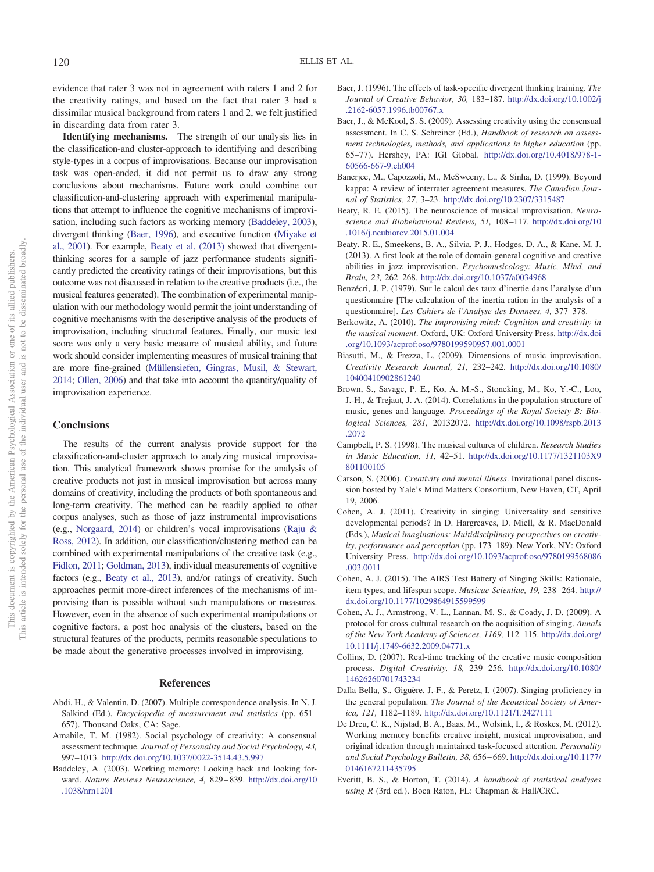evidence that rater 3 was not in agreement with raters 1 and 2 for the creativity ratings, and based on the fact that rater 3 had a dissimilar musical background from raters 1 and 2, we felt justified in discarding data from rater 3.

**Identifying mechanisms.** The strength of our analysis lies in the classification-and cluster-approach to identifying and describing style-types in a corpus of improvisations. Because our improvisation task was open-ended, it did not permit us to draw any strong conclusions about mechanisms. Future work could combine our classification-and-clustering approach with experimental manipulations that attempt to influence the cognitive mechanisms of improvisation, including such factors as working memory [\(Baddeley, 2003\)](#page-10-19), divergent thinking [\(Baer, 1996\)](#page-10-20), and executive function [\(Miyake et](#page-11-28) [al., 2001\)](#page-11-28). For example, [Beaty et al. \(2013\)](#page-10-3) showed that divergentthinking scores for a sample of jazz performance students significantly predicted the creativity ratings of their improvisations, but this outcome was not discussed in relation to the creative products (i.e., the musical features generated). The combination of experimental manipulation with our methodology would permit the joint understanding of cognitive mechanisms with the descriptive analysis of the products of improvisation, including structural features. Finally, our music test score was only a very basic measure of musical ability, and future work should consider implementing measures of musical training that are more fine-grained [\(Müllensiefen, Gingras, Musil, & Stewart,](#page-11-39) [2014;](#page-11-39) [Ollen, 2006\)](#page-11-40) and that take into account the quantity/quality of improvisation experience.

# **Conclusions**

The results of the current analysis provide support for the classification-and-cluster approach to analyzing musical improvisation. This analytical framework shows promise for the analysis of creative products not just in musical improvisation but across many domains of creativity, including the products of both spontaneous and long-term creativity. The method can be readily applied to other corpus analyses, such as those of jazz instrumental improvisations (e.g., [Norgaard, 2014\)](#page-11-4) or children's vocal improvisations [\(Raju &](#page-11-12) [Ross, 2012\)](#page-11-12). In addition, our classification/clustering method can be combined with experimental manipulations of the creative task (e.g., [Fidlon, 2011;](#page-11-8) [Goldman, 2013\)](#page-11-7), individual measurements of cognitive factors (e.g., [Beaty et al., 2013\)](#page-10-3), and/or ratings of creativity. Such approaches permit more-direct inferences of the mechanisms of improvising than is possible without such manipulations or measures. However, even in the absence of such experimental manipulations or cognitive factors, a post hoc analysis of the clusters, based on the structural features of the products, permits reasonable speculations to be made about the generative processes involved in improvising.

### **References**

- <span id="page-10-5"></span>Abdi, H., & Valentin, D. (2007). Multiple correspondence analysis. In N. J. Salkind (Ed.), *Encyclopedia of measurement and statistics* (pp. 651– 657). Thousand Oaks, CA: Sage.
- <span id="page-10-8"></span>Amabile, T. M. (1982). Social psychology of creativity: A consensual assessment technique. *Journal of Personality and Social Psychology, 43,* 997–1013. <http://dx.doi.org/10.1037/0022-3514.43.5.997>
- <span id="page-10-19"></span>Baddeley, A. (2003). Working memory: Looking back and looking forward. *Nature Reviews Neuroscience, 4,* 829 – 839. [http://dx.doi.org/10](http://dx.doi.org/10.1038/nrn1201) [.1038/nrn1201](http://dx.doi.org/10.1038/nrn1201)
- <span id="page-10-20"></span>Baer, J. (1996). The effects of task-specific divergent thinking training. *The Journal of Creative Behavior, 30,* 183–187. [http://dx.doi.org/10.1002/j](http://dx.doi.org/10.1002/j.2162-6057.1996.tb00767.x) [.2162-6057.1996.tb00767.x](http://dx.doi.org/10.1002/j.2162-6057.1996.tb00767.x)
- <span id="page-10-10"></span>Baer, J., & McKool, S. S. (2009). Assessing creativity using the consensual assessment. In C. S. Schreiner (Ed.), *Handbook of research on assessment technologies, methods, and applications in higher education* (pp. 65–77). Hershey, PA: IGI Global. [http://dx.doi.org/10.4018/978-1-](http://dx.doi.org/10.4018/978-1-60566-667-9.ch004) [60566-667-9.ch004](http://dx.doi.org/10.4018/978-1-60566-667-9.ch004)
- <span id="page-10-11"></span>Banerjee, M., Capozzoli, M., McSweeny, L., & Sinha, D. (1999). Beyond kappa: A review of interrater agreement measures. *The Canadian Journal of Statistics, 27,* 3–23. <http://dx.doi.org/10.2307/3315487>
- <span id="page-10-1"></span>Beaty, R. E. (2015). The neuroscience of musical improvisation. *Neuroscience and Biobehavioral Reviews, 51,* 108 –117. [http://dx.doi.org/10](http://dx.doi.org/10.1016/j.neubiorev.2015.01.004) [.1016/j.neubiorev.2015.01.004](http://dx.doi.org/10.1016/j.neubiorev.2015.01.004)
- <span id="page-10-3"></span>Beaty, R. E., Smeekens, B. A., Silvia, P. J., Hodges, D. A., & Kane, M. J. (2013). A first look at the role of domain-general cognitive and creative abilities in jazz improvisation. *Psychomusicology: Music, Mind, and Brain, 23,* 262–268. <http://dx.doi.org/10.1037/a0034968>
- <span id="page-10-13"></span>Benzécri, J. P. (1979). Sur le calcul des taux d'inertie dans l'analyse d'un questionnaire [The calculation of the inertia ration in the analysis of a questionnaire]. *Les Cahiers de l'Analyse des Donnees, 4,* 377–378.
- <span id="page-10-15"></span>Berkowitz, A. (2010). *The improvising mind: Cognition and creativity in the musical moment*. Oxford, UK: Oxford University Press. [http://dx.doi](http://dx.doi.org/10.1093/acprof:oso/9780199590957.001.0001) [.org/10.1093/acprof:oso/9780199590957.001.0001](http://dx.doi.org/10.1093/acprof:oso/9780199590957.001.0001)
- <span id="page-10-2"></span>Biasutti, M., & Frezza, L. (2009). Dimensions of music improvisation. *Creativity Research Journal, 21,* 232–242. [http://dx.doi.org/10.1080/](http://dx.doi.org/10.1080/10400410902861240) [10400410902861240](http://dx.doi.org/10.1080/10400410902861240)
- <span id="page-10-12"></span>Brown, S., Savage, P. E., Ko, A. M.-S., Stoneking, M., Ko, Y.-C., Loo, J.-H., & Trejaut, J. A. (2014). Correlations in the population structure of music, genes and language. *Proceedings of the Royal Society B: Biological Sciences, 281,* 20132072. [http://dx.doi.org/10.1098/rspb.2013](http://dx.doi.org/10.1098/rspb.2013.2072) [.2072](http://dx.doi.org/10.1098/rspb.2013.2072)
- <span id="page-10-17"></span>Campbell, P. S. (1998). The musical cultures of children. *Research Studies in Music Education, 11,* 42–51. [http://dx.doi.org/10.1177/1321103X9](http://dx.doi.org/10.1177/1321103X9801100105) [801100105](http://dx.doi.org/10.1177/1321103X9801100105)
- <span id="page-10-9"></span>Carson, S. (2006). *Creativity and mental illness*. Invitational panel discussion hosted by Yale's Mind Matters Consortium, New Haven, CT, April 19, 2006.
- <span id="page-10-18"></span>Cohen, A. J. (2011). Creativity in singing: Universality and sensitive developmental periods? In D. Hargreaves, D. Miell, & R. MacDonald (Eds.), *Musical imaginations: Multidisciplinary perspectives on creativity, performance and perception* (pp. 173–189). New York, NY: Oxford University Press. [http://dx.doi.org/10.1093/acprof:oso/9780199568086](http://dx.doi.org/10.1093/acprof:oso/9780199568086.003.0011) [.003.0011](http://dx.doi.org/10.1093/acprof:oso/9780199568086.003.0011)
- <span id="page-10-6"></span>Cohen, A. J. (2015). The AIRS Test Battery of Singing Skills: Rationale, item types, and lifespan scope. *Musicae Scientiae, 19,* 238 –264. [http://](http://dx.doi.org/10.1177/1029864915599599) [dx.doi.org/10.1177/1029864915599599](http://dx.doi.org/10.1177/1029864915599599)
- <span id="page-10-7"></span>Cohen, A. J., Armstrong, V. L., Lannan, M. S., & Coady, J. D. (2009). A protocol for cross-cultural research on the acquisition of singing. *Annals of the New York Academy of Sciences, 1169,* 112–115. [http://dx.doi.org/](http://dx.doi.org/10.1111/j.1749-6632.2009.04771.x) [10.1111/j.1749-6632.2009.04771.x](http://dx.doi.org/10.1111/j.1749-6632.2009.04771.x)
- <span id="page-10-0"></span>Collins, D. (2007). Real-time tracking of the creative music composition process. *Digital Creativity, 18,* 239 –256. [http://dx.doi.org/10.1080/](http://dx.doi.org/10.1080/14626260701743234) [14626260701743234](http://dx.doi.org/10.1080/14626260701743234)
- <span id="page-10-16"></span>Dalla Bella, S., Giguère, J.-F., & Peretz, I. (2007). Singing proficiency in the general population. *The Journal of the Acoustical Society of America, 121,* 1182–1189. <http://dx.doi.org/10.1121/1.2427111>
- <span id="page-10-4"></span>De Dreu, C. K., Nijstad, B. A., Baas, M., Wolsink, I., & Roskes, M. (2012). Working memory benefits creative insight, musical improvisation, and original ideation through maintained task-focused attention. *Personality and Social Psychology Bulletin, 38,* 656 – 669. [http://dx.doi.org/10.1177/](http://dx.doi.org/10.1177/0146167211435795) [0146167211435795](http://dx.doi.org/10.1177/0146167211435795)
- <span id="page-10-14"></span>Everitt, B. S., & Horton, T. (2014). *A handbook of statistical analyses using R* (3rd ed.). Boca Raton, FL: Chapman & Hall/CRC.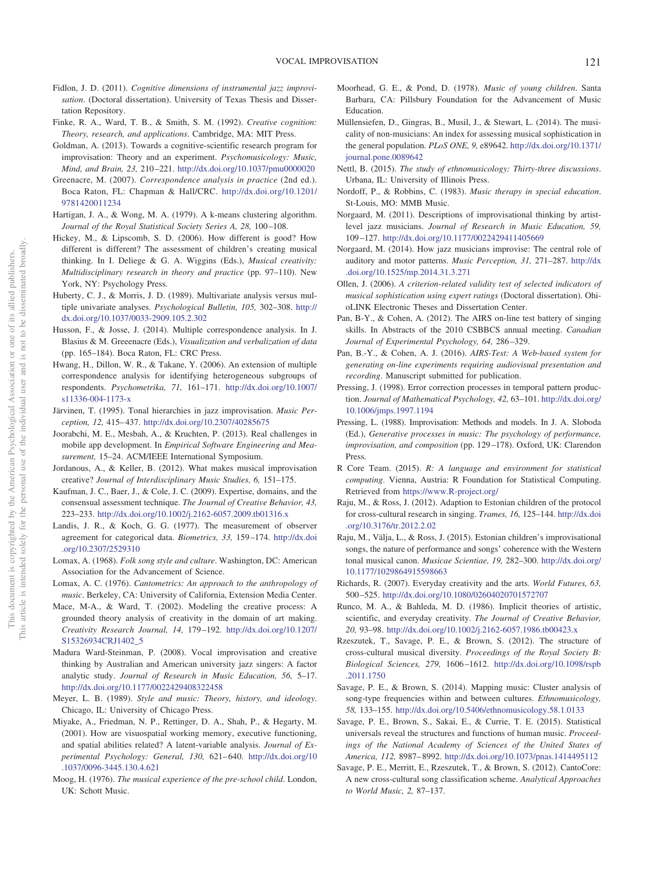- <span id="page-11-8"></span>Fidlon, J. D. (2011). *Cognitive dimensions of instrumental jazz improvisation*. (Doctoral dissertation). University of Texas Thesis and Dissertation Repository.
- <span id="page-11-1"></span>Finke, R. A., Ward, T. B., & Smith, S. M. (1992). *Creative cognition: Theory, research, and applications*. Cambridge, MA: MIT Press.
- <span id="page-11-7"></span>Goldman, A. (2013). Towards a cognitive-scientific research program for improvisation: Theory and an experiment. *Psychomusicology: Music, Mind, and Brain, 23,* 210 –221. <http://dx.doi.org/10.1037/pmu0000020>
- <span id="page-11-27"></span>Greenacre, M. (2007). *Correspondence analysis in practice* (2nd ed.). Boca Raton, FL: Chapman & Hall/CRC. [http://dx.doi.org/10.1201/](http://dx.doi.org/10.1201/9781420011234) [9781420011234](http://dx.doi.org/10.1201/9781420011234)
- <span id="page-11-17"></span>Hartigan, J. A., & Wong, M. A. (1979). A k-means clustering algorithm. *Journal of the Royal Statistical Society Series A, 28,* 100 –108.
- <span id="page-11-10"></span>Hickey, M., & Lipscomb, S. D. (2006). How different is good? How different is different? The assessment of children's creating musical thinking. In I. Deliege & G. A. Wiggins (Eds.), *Musical creativity: Multidisciplinary research in theory and practice* (pp. 97–110). New York, NY: Psychology Press.
- <span id="page-11-25"></span>Huberty, C. J., & Morris, J. D. (1989). Multivariate analysis versus multiple univariate analyses. *Psychological Bulletin, 105,* 302–308. [http://](http://dx.doi.org/10.1037/0033-2909.105.2.302) [dx.doi.org/10.1037/0033-2909.105.2.302](http://dx.doi.org/10.1037/0033-2909.105.2.302)
- <span id="page-11-18"></span>Husson, F., & Josse, J. (2014). Multiple correspondence analysis. In J. Blasius & M. Greeenacre (Eds.), *Visualization and verbalization of data* (pp. 165–184). Boca Raton, FL: CRC Press.
- <span id="page-11-19"></span>Hwang, H., Dillon, W. R., & Takane, Y. (2006). An extension of multiple correspondence analysis for identifying heterogeneous subgroups of respondents. *Psychometrika, 71,* 161–171. [http://dx.doi.org/10.1007/](http://dx.doi.org/10.1007/s11336-004-1173-x) [s11336-004-1173-x](http://dx.doi.org/10.1007/s11336-004-1173-x)
- <span id="page-11-9"></span>Järvinen, T. (1995). Tonal hierarchies in jazz improvisation. *Music Perception, 12,* 415– 437. <http://dx.doi.org/10.2307/40285675>
- <span id="page-11-0"></span>Joorabchi, M. E., Mesbah, A., & Kruchten, P. (2013). Real challenges in mobile app development. In *Empirical Software Engineering and Measurement,* 15–24. ACM/IEEE International Symposium.
- <span id="page-11-38"></span>Jordanous, A., & Keller, B. (2012). What makes musical improvisation creative? *Journal of Interdisciplinary Music Studies, 6,* 151–175.
- <span id="page-11-22"></span>Kaufman, J. C., Baer, J., & Cole, J. C. (2009). Expertise, domains, and the consensual assessment technique. *The Journal of Creative Behavior, 43,* 223–233. <http://dx.doi.org/10.1002/j.2162-6057.2009.tb01316.x>
- <span id="page-11-23"></span>Landis, J. R., & Koch, G. G. (1977). The measurement of observer agreement for categorical data. *Biometrics, 33,* 159 –174. [http://dx.doi](http://dx.doi.org/10.2307/2529310) [.org/10.2307/2529310](http://dx.doi.org/10.2307/2529310)
- <span id="page-11-31"></span>Lomax, A. (1968). *Folk song style and culture*. Washington, DC: American Association for the Advancement of Science.
- <span id="page-11-37"></span>Lomax, A. C. (1976). *Cantometrics: An approach to the anthropology of music*. Berkeley, CA: University of California, Extension Media Center.
- <span id="page-11-2"></span>Mace, M-A., & Ward, T. (2002). Modeling the creative process: A grounded theory analysis of creativity in the domain of art making. *Creativity Research Journal, 14,* 179 –192. [http://dx.doi.org/10.1207/](http://dx.doi.org/10.1207/S15326934CRJ1402_5) [S15326934CRJ1402\\_5](http://dx.doi.org/10.1207/S15326934CRJ1402_5)
- <span id="page-11-11"></span>Madura Ward-Steinman, P. (2008). Vocal improvisation and creative thinking by Australian and American university jazz singers: A factor analytic study. *Journal of Research in Music Education, 56,* 5–17. <http://dx.doi.org/10.1177/0022429408322458>
- <span id="page-11-16"></span>Meyer, L. B. (1989). *Style and music: Theory, history, and ideology*. Chicago, IL: University of Chicago Press.
- <span id="page-11-28"></span>Miyake, A., Friedman, N. P., Rettinger, D. A., Shah, P., & Hegarty, M. (2001). How are visuospatial working memory, executive functioning, and spatial abilities related? A latent-variable analysis. *Journal of Experimental Psychology: General, 130,* 621– 640. [http://dx.doi.org/10](http://dx.doi.org/10.1037/0096-3445.130.4.621) [.1037/0096-3445.130.4.621](http://dx.doi.org/10.1037/0096-3445.130.4.621)
- <span id="page-11-33"></span>Moog, H. (1976). *The musical experience of the pre-school child*. London, UK: Schott Music.
- <span id="page-11-34"></span>Moorhead, G. E., & Pond, D. (1978). *Music of young children*. Santa Barbara, CA: Pillsbury Foundation for the Advancement of Music Education.
- <span id="page-11-39"></span>Müllensiefen, D., Gingras, B., Musil, J., & Stewart, L. (2014). The musicality of non-musicians: An index for assessing musical sophistication in the general population. *PLoS ONE, 9,* e89642. [http://dx.doi.org/10.1371/](http://dx.doi.org/10.1371/journal.pone.0089642) [journal.pone.0089642](http://dx.doi.org/10.1371/journal.pone.0089642)
- <span id="page-11-32"></span>Nettl, B. (2015). *The study of ethnomusicology: Thirty-three discussions*. Urbana, IL: University of Illinois Press.
- <span id="page-11-36"></span>Nordoff, P., & Robbins, C. (1983). *Music therapy in special education*. St-Louis, MO: MMB Music.
- <span id="page-11-3"></span>Norgaard, M. (2011). Descriptions of improvisational thinking by artistlevel jazz musicians. *Journal of Research in Music Education, 59,* 109 –127. <http://dx.doi.org/10.1177/0022429411405669>
- <span id="page-11-4"></span>Norgaard, M. (2014). How jazz musicians improvise: The central role of auditory and motor patterns. *Music Perception, 31,* 271–287. [http://dx](http://dx.doi.org/10.1525/mp.2014.31.3.271) [.doi.org/10.1525/mp.2014.31.3.271](http://dx.doi.org/10.1525/mp.2014.31.3.271)
- <span id="page-11-40"></span>Ollen, J. (2006). *A criterion-related validity test of selected indicators of musical sophistication using expert ratings* (Doctoral dissertation). OhioLINK Electronic Theses and Dissertation Center.
- <span id="page-11-20"></span>Pan, B-Y., & Cohen, A. (2012). The AIRS on-line test battery of singing skills. In Abstracts of the 2010 CSBBCS annual meeting. *Canadian Journal of Experimental Psychology, 64,* 286 –329.
- <span id="page-11-21"></span>Pan, B.-Y., & Cohen, A. J. (2016). *AIRS-Test: A Web-based system for generating on-line experiments requiring audiovisual presentation and recording*. Manuscript submitted for publication.
- <span id="page-11-6"></span>Pressing, J. (1998). Error correction processes in temporal pattern production. *Journal of Mathematical Psychology, 42,* 63–101. [http://dx.doi.org/](http://dx.doi.org/10.1006/jmps.1997.1194) [10.1006/jmps.1997.1194](http://dx.doi.org/10.1006/jmps.1997.1194)
- <span id="page-11-5"></span>Pressing, L. (1988). Improvisation: Methods and models. In J. A. Sloboda (Ed.), *Generative processes in music: The psychology of performance, improvisation, and composition* (pp. 129 –178). Oxford, UK: Clarendon Press.
- <span id="page-11-26"></span>R Core Team. (2015). *R: A language and environment for statistical computing*. Vienna, Austria: R Foundation for Statistical Computing. Retrieved from <https://www.R-project.org/>
- <span id="page-11-12"></span>Raju, M., & Ross, J. (2012). Adaption to Estonian children of the protocol for cross-cultural research in singing. *Trames, 16,* 125–144. [http://dx.doi](http://dx.doi.org/10.3176/tr.2012.2.02) [.org/10.3176/tr.2012.2.02](http://dx.doi.org/10.3176/tr.2012.2.02)
- <span id="page-11-35"></span>Raju, M., Välja, L., & Ross, J. (2015). Estonian children's improvisational songs, the nature of performance and songs' coherence with the Western tonal musical canon. *Musicae Scientiae, 19,* 282–300. [http://dx.doi.org/](http://dx.doi.org/10.1177/1029864915598663) [10.1177/1029864915598663](http://dx.doi.org/10.1177/1029864915598663)
- <span id="page-11-29"></span>Richards, R. (2007). Everyday creativity and the arts. *World Futures, 63,* 500 –525. <http://dx.doi.org/10.1080/02604020701572707>
- <span id="page-11-30"></span>Runco, M. A., & Bahleda, M. D. (1986). Implicit theories of artistic, scientific, and everyday creativity. *The Journal of Creative Behavior, 20,* 93–98. <http://dx.doi.org/10.1002/j.2162-6057.1986.tb00423.x>
- <span id="page-11-14"></span>Rzeszutek, T., Savage, P. E., & Brown, S. (2012). The structure of cross-cultural musical diversity. *Proceedings of the Royal Society B: Biological Sciences, 279,* 1606 –1612. [http://dx.doi.org/10.1098/rspb](http://dx.doi.org/10.1098/rspb.2011.1750) [.2011.1750](http://dx.doi.org/10.1098/rspb.2011.1750)
- <span id="page-11-15"></span>Savage, P. E., & Brown, S. (2014). Mapping music: Cluster analysis of song-type frequencies within and between cultures. *Ethnomusicology, 58,* 133–155. <http://dx.doi.org/10.5406/ethnomusicology.58.1.0133>
- <span id="page-11-24"></span>Savage, P. E., Brown, S., Sakai, E., & Currie, T. E. (2015). Statistical universals reveal the structures and functions of human music. *Proceedings of the National Academy of Sciences of the United States of America, 112,* 8987– 8992. <http://dx.doi.org/10.1073/pnas.1414495112>
- <span id="page-11-13"></span>Savage, P. E., Merritt, E., Rzeszutek, T., & Brown, S. (2012). CantoCore: A new cross-cultural song classification scheme. *Analytical Approaches to World Music, 2,* 87–137.